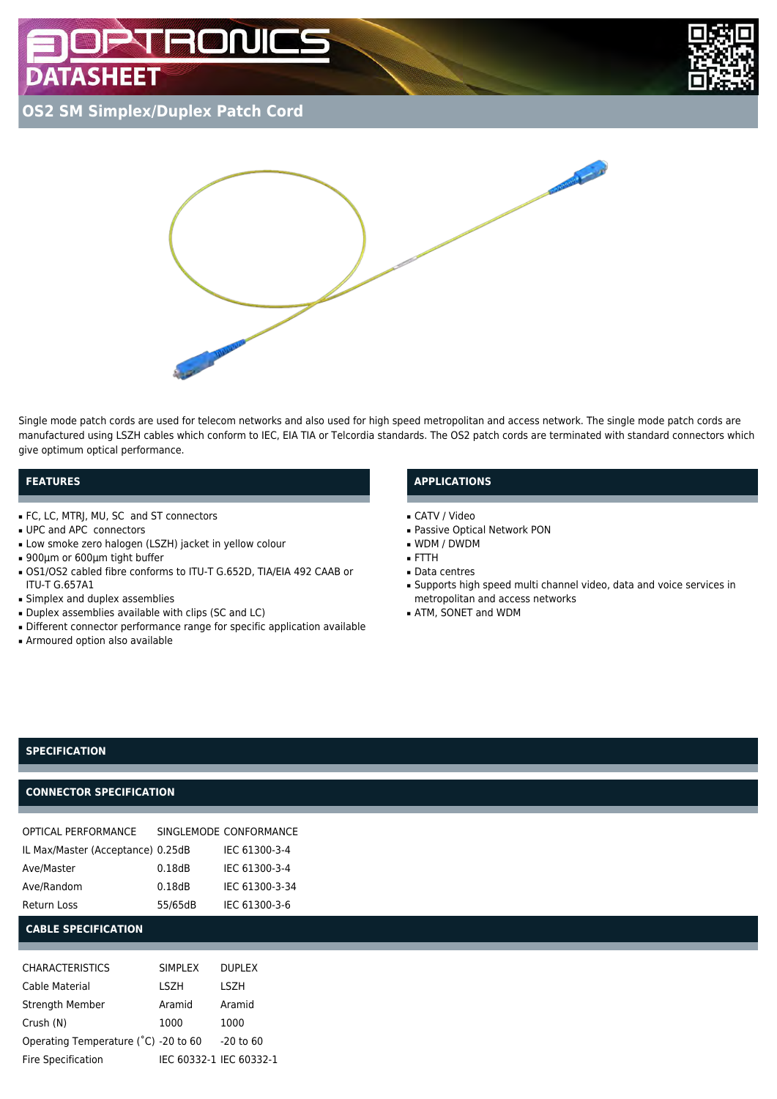# **BON ATASHEET**



**OS2 SM Simplex/Duplex Patch Cord**



Single mode patch cords are used for telecom networks and also used for high speed metropolitan and access network. The single mode patch cords are manufactured using LSZH cables which conform to IEC, EIA TIA or Telcordia standards. The OS2 patch cords are terminated with standard connectors which give optimum optical performance.

# **FEATURES**

- FC, LC, MTRJ, MU, SC and ST connectors
- UPC and APC connectors
- Low smoke zero halogen (LSZH) jacket in yellow colour
- 900μm or 600μm tight buffer
- OS1/OS2 cabled fibre conforms to ITU-T G.652D, TIA/EIA 492 CAAB or ITU-T G.657A1
- Simplex and duplex assemblies
- Duplex assemblies available with clips (SC and LC)
- Different connector performance range for specific application available
- Armoured option also available

# **APPLICATIONS**

- CATV / Video
- Passive Optical Network PON
- WDM / DWDM
- FTTH
- Data centres
- Supports high speed multi channel video, data and voice services in metropolitan and access networks
- ATM, SONET and WDM

## **SPECIFICATION**

# **CONNECTOR SPECIFICATION**

| OPTICAL PERFORMANCE               |         | SINGLEMODE CONFORMANCE |
|-----------------------------------|---------|------------------------|
| IL Max/Master (Acceptance) 0.25dB |         | IEC 61300-3-4          |
| Ave/Master                        | 0.18dB  | IEC 61300-3-4          |
| Ave/Random                        | 0.18dB  | IEC 61300-3-34         |
| <b>Return Loss</b>                | 55/65dB | IEC 61300-3-6          |

#### **CABLE SPECIFICATION**

| <b>CHARACTERISTICS</b>               | <b>SIMPLEX</b> | <b>DUPLEX</b>           |
|--------------------------------------|----------------|-------------------------|
| Cable Material                       | <b>LSZH</b>    | <b>LSZH</b>             |
| Strength Member                      | Aramid         | Aramid                  |
| Crush (N)                            | 1000           | 1000                    |
| Operating Temperature (°C) -20 to 60 |                | $-20$ to 60             |
| Fire Specification                   |                | IEC 60332-1 IEC 60332-1 |